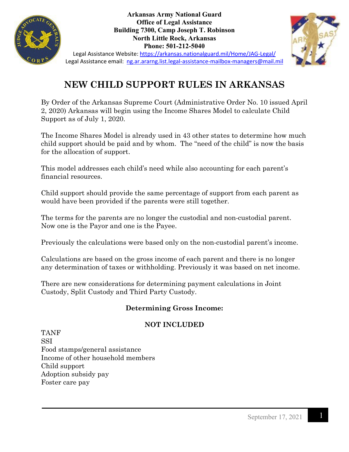

**Arkansas Army National Guard Office of Legal Assistance Building 7300, Camp Joseph T. Robinson North Little Rock, Arkansas Phone: 501-212-5040**



Legal Assistance Website:<https://arkansas.nationalguard.mil/Home/JAG-Legal/> Legal Assistance email: [ng.ar.ararng.list.legal-assistance-mailbox-managers@mail.mil](mailto:ng.ar.ararng.list.legal-assistance-mailbox-managers@mail.mil)

# **NEW CHILD SUPPORT RULES IN ARKANSAS**

By Order of the Arkansas Supreme Court (Administrative Order No. 10 issued April 2, 2020) Arkansas will begin using the Income Shares Model to calculate Child Support as of July 1, 2020.

The Income Shares Model is already used in 43 other states to determine how much child support should be paid and by whom. The "need of the child" is now the basis for the allocation of support.

This model addresses each child's need while also accounting for each parent's financial resources.

Child support should provide the same percentage of support from each parent as would have been provided if the parents were still together.

The terms for the parents are no longer the custodial and non-custodial parent. Now one is the Payor and one is the Payee.

Previously the calculations were based only on the non-custodial parent's income.

Calculations are based on the gross income of each parent and there is no longer any determination of taxes or withholding. Previously it was based on net income.

There are new considerations for determining payment calculations in Joint Custody, Split Custody and Third Party Custody.

## **Determining Gross Income:**

## **NOT INCLUDED**

TANF SSI Food stamps/general assistance Income of other household members Child support Adoption subsidy pay Foster care pay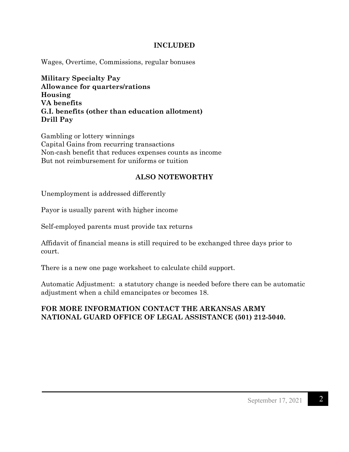#### **INCLUDED**

Wages, Overtime, Commissions, regular bonuses

**Military Specialty Pay Allowance for quarters/rations Housing VA benefits G.I. benefits (other than education allotment) Drill Pay**

Gambling or lottery winnings Capital Gains from recurring transactions Non-cash benefit that reduces expenses counts as income But not reimbursement for uniforms or tuition

## **ALSO NOTEWORTHY**

Unemployment is addressed differently

Payor is usually parent with higher income

Self-employed parents must provide tax returns

Affidavit of financial means is still required to be exchanged three days prior to court.

There is a new one page worksheet to calculate child support.

Automatic Adjustment: a statutory change is needed before there can be automatic adjustment when a child emancipates or becomes 18.

### **FOR MORE INFORMATION CONTACT THE ARKANSAS ARMY NATIONAL GUARD OFFICE OF LEGAL ASSISTANCE (501) 212-5040.**